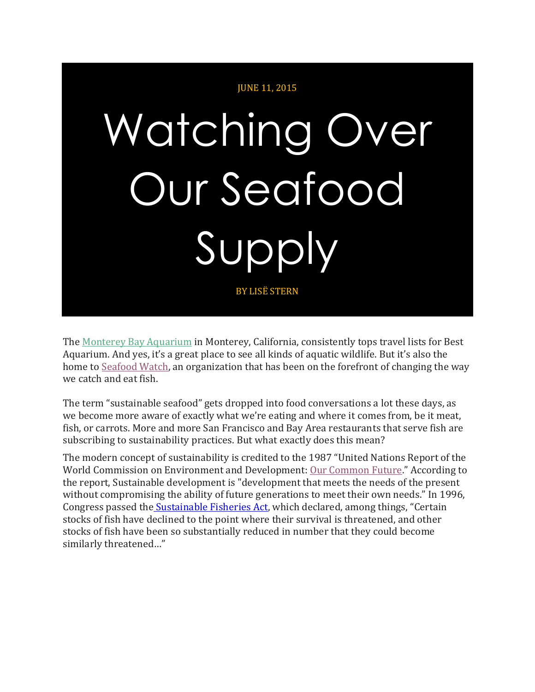

The [Monterey Bay Aquarium](http://www.montereybayaquarium.org/) in Monterey, California, consistently tops travel lists for Best Aquarium. And yes, it's a great place to see all kinds of aquatic wildlife. But it's also the home to [Seafood Watch,](http://www.seafoodwatch.org/about-us/our-criteria) an organization that has been on the forefront of changing the way we catch and eat fish.

The term "sustainable seafood" gets dropped into food conversations a lot these days, as we become more aware of exactly what we're eating and where it comes from, be it meat, fish, or carrots. More and more San Francisco and Bay Area restaurants that serve fish are subscribing to sustainability practices. But what exactly does this mean?

The modern concept of sustainability is credited to the 1987 "United Nations Report of the World Commission on Environment and Development: [Our Common Future](http://www.un-documents.net/our-common-future.pdf)." According to the report, Sustainable development is "development that meets the needs of the present without compromising the ability of future generations to meet their own needs." In 1996, Congress passed the [Sustainable Fisheries Act](https://www.congress.gov/104/plaws/publ297/PLAW-104publ297.pdf), which declared, among things, "Certain stocks of fish have declined to the point where their survival is threatened, and other stocks of fish have been so substantially reduced in number that they could become similarly threatened…"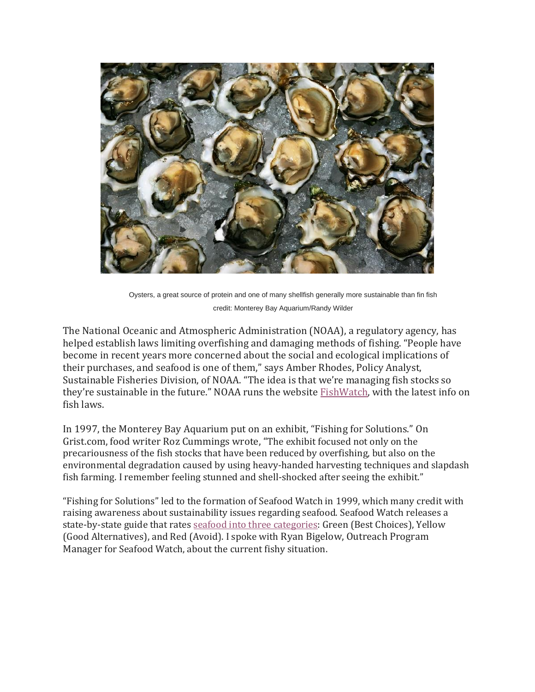

Oysters, a great source of protein and one of many shellfish generally more sustainable than fin fish credit: Monterey Bay Aquarium/Randy Wilder

The National Oceanic and Atmospheric Administration (NOAA), a regulatory agency, has helped establish laws limiting overfishing and damaging methods of fishing. "People have become in recent years more concerned about the social and ecological implications of their purchases, and seafood is one of them," says Amber Rhodes, Policy Analyst, Sustainable Fisheries Division, of NOAA. "The idea is that we're managing fish stocks so they're sustainable in the future." NOAA runs the website [FishWatch,](http://www.fishwatch.gov/) with the latest info on fish laws.

In 1997, the Monterey Bay Aquarium put on an exhibit, "Fishing for Solutions." On Grist.com, food writer Roz Cummings wrote, "The exhibit focused not only on the precariousness of the fish stocks that have been reduced by overfishing, but also on the environmental degradation caused by using heavy-handed harvesting techniques and slapdash fish farming. I remember feeling stunned and shell-shocked after seeing the exhibit."

"Fishing for Solutions" led to the formation of Seafood Watch in 1999, which many credit with raising awareness about sustainability issues regarding seafood. Seafood Watch releases a state-by-state guide that rates [seafood into three categories:](http://www.seafoodwatch.org/-/m/sfw/pdf/guides/mba-seafoodwatch-west-coast-guide.pdf?la=en) Green (Best Choices), Yellow (Good Alternatives), and Red (Avoid). I spoke with Ryan Bigelow, Outreach Program Manager for Seafood Watch, about the current fishy situation.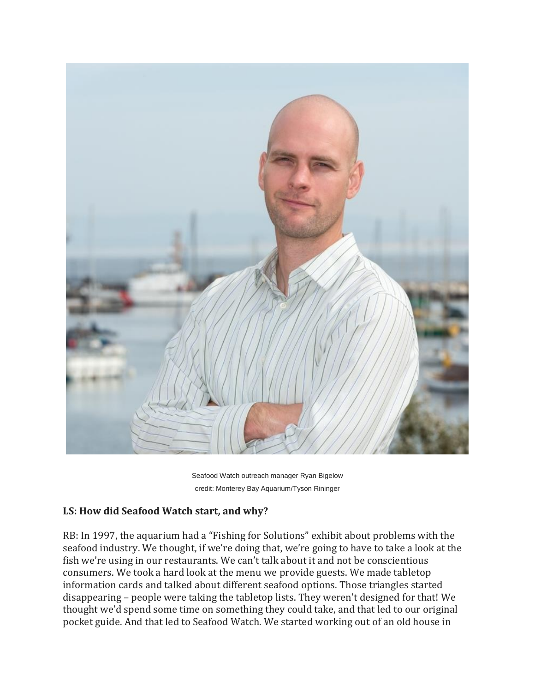

Seafood Watch outreach manager Ryan Bigelow credit: Monterey Bay Aquarium/Tyson Rininger

#### **LS: How did Seafood Watch start, and why?**

RB: In 1997, the aquarium had a "Fishing for Solutions" exhibit about problems with the seafood industry. We thought, if we're doing that, we're going to have to take a look at the fish we're using in our restaurants. We can't talk about it and not be conscientious consumers. We took a hard look at the menu we provide guests. We made tabletop information cards and talked about different seafood options. Those triangles started disappearing – people were taking the tabletop lists. They weren't designed for that! We thought we'd spend some time on something they could take, and that led to our original pocket guide. And that led to Seafood Watch. We started working out of an old house in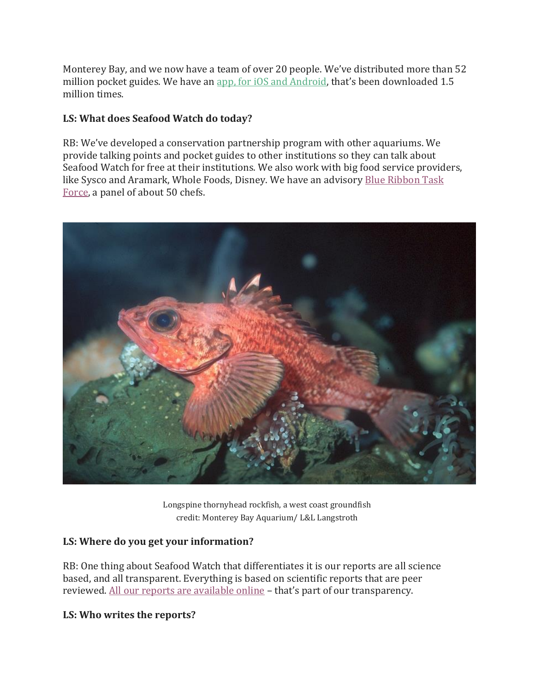Monterey Bay, and we now have a team of over 20 people. We've distributed more than 52 million pocket guides. We have an [app, for iOS and Android,](http://www.seafoodwatch.org/seafood-recommendations/our-app) that's been downloaded 1.5 million times.

### **LS: What does Seafood Watch do today?**

RB: We've developed a conservation partnership program with other aquariums. We provide talking points and pocket guides to other institutions so they can talk about Seafood Watch for free at their institutions. We also work with big food service providers, like Sysco and Aramark, Whole Foods, Disney. We have an advisory [Blue Ribbon Task](http://www.seafoodwatch.org/businesses-and-organizations/blue-ribbon-task-force)  [Force,](http://www.seafoodwatch.org/businesses-and-organizations/blue-ribbon-task-force) a panel of about 50 chefs.



Longspine thornyhead rockfish, a west coast groundfish credit: Monterey Bay Aquarium/ L&L Langstroth

#### **LS: Where do you get your information?**

RB: One thing about Seafood Watch that differentiates it is our reports are all science based, and all transparent. Everything is based on scientific reports that are peer reviewed. [All our reports are available online](http://www.seafoodwatch.org/about-us/our-criteria) – that's part of our transparency.

#### **LS: Who writes the reports?**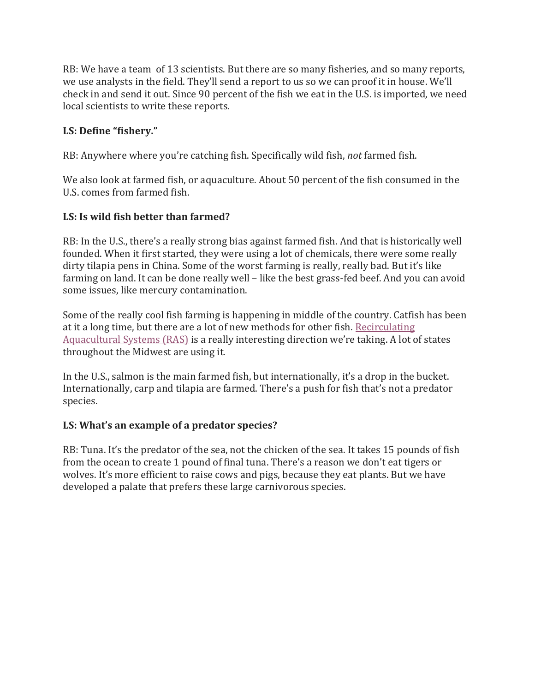RB: We have a team of 13 scientists. But there are so many fisheries, and so many reports, we use analysts in the field. They'll send a report to us so we can proof it in house. We'll check in and send it out. Since 90 percent of the fish we eat in the U.S. is imported, we need local scientists to write these reports.

### **LS: Define "fishery."**

RB: Anywhere where you're catching fish. Specifically wild fish, *not* farmed fish.

We also look at farmed fish, or aquaculture. About 50 percent of the fish consumed in the U.S. comes from farmed fish.

# **LS: Is wild fish better than farmed?**

RB: In the U.S., there's a really strong bias against farmed fish. And that is historically well founded. When it first started, they were using a lot of chemicals, there were some really dirty tilapia pens in China. Some of the worst farming is really, really bad. But it's like farming on land. It can be done really well – like the best grass-fed beef. And you can avoid some issues, like mercury contamination.

Some of the really cool fish farming is happening in middle of the country. Catfish has been at it a long time, but there are a lot of new methods for other fish. [Recirculating](http://www.blueridgeaquaculture.com/recirculatingaquaculture.cfm)  [Aquacultural Systems \(RAS\)](http://www.blueridgeaquaculture.com/recirculatingaquaculture.cfm) is a really interesting direction we're taking. A lot of states throughout the Midwest are using it.

In the U.S., salmon is the main farmed fish, but internationally, it's a drop in the bucket. Internationally, carp and tilapia are farmed. There's a push for fish that's not a predator species.

#### **LS: What's an example of a predator species?**

RB: Tuna. It's the predator of the sea, not the chicken of the sea. It takes 15 pounds of fish from the ocean to create 1 pound of final tuna. There's a reason we don't eat tigers or wolves. It's more efficient to raise cows and pigs, because they eat plants. But we have developed a palate that prefers these large carnivorous species.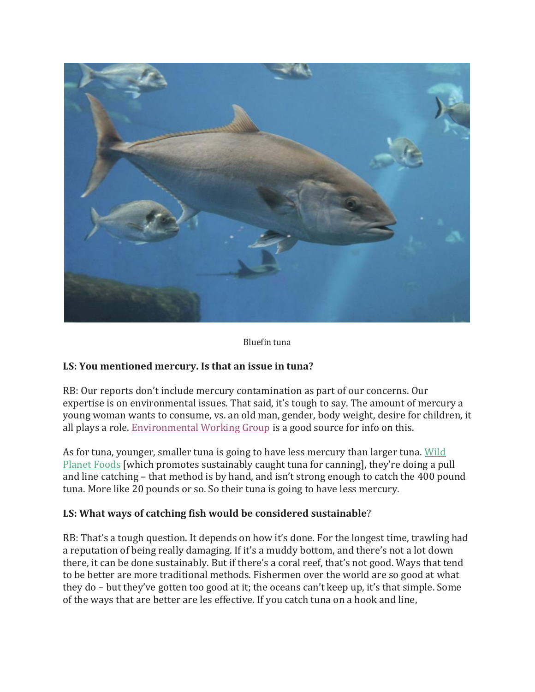

Bluefin tuna

#### **LS: You mentioned mercury. Is that an issue in tuna?**

RB: Our reports don't include mercury contamination as part of our concerns. Our expertise is on environmental issues. That said, it's tough to say. The amount of mercury a young woman wants to consume, vs. an old man, gender, body weight, desire for children, it all plays a role. [Environmental Working Group](http://www.ewg.org/search/site/mercury) is a good source for info on this.

As for tuna, younger, smaller tuna is going to have less mercury than larger tuna. [Wild](http://www.wildplanetfoods.com/faqs/)  [Planet Foods](http://www.wildplanetfoods.com/faqs/) [which promotes sustainably caught tuna for canning], they're doing a pull and line catching – that method is by hand, and isn't strong enough to catch the 400 pound tuna. More like 20 pounds or so. So their tuna is going to have less mercury.

#### **LS: What ways of catching fish would be considered sustainable**?

RB: That's a tough question. It depends on how it's done. For the longest time, trawling had a reputation of being really damaging. If it's a muddy bottom, and there's not a lot down there, it can be done sustainably. But if there's a coral reef, that's not good. Ways that tend to be better are more traditional methods. Fishermen over the world are so good at what they do – but they've gotten too good at it; the oceans can't keep up, it's that simple. Some of the ways that are better are les effective. If you catch tuna on a hook and line,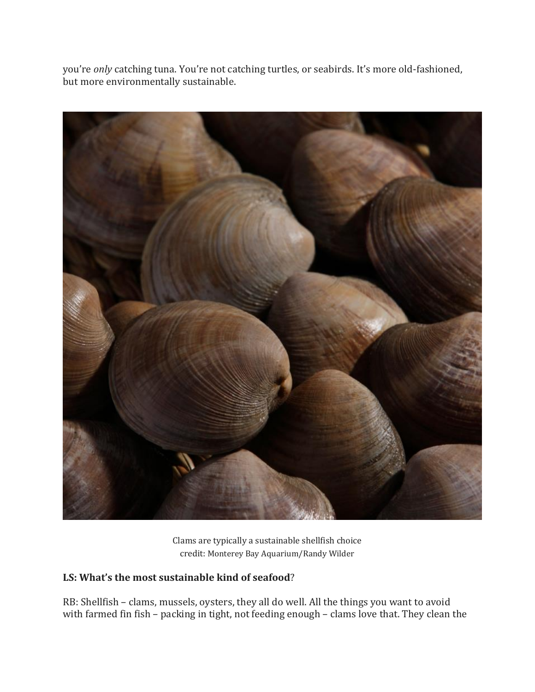you're *only* catching tuna. You're not catching turtles, or seabirds. It's more old-fashioned, but more environmentally sustainable.



Clams are typically a sustainable shellfish choice credit: Monterey Bay Aquarium/Randy Wilder

# **LS: What's the most sustainable kind of seafood**?

RB: Shellfish – clams, mussels, oysters, they all do well. All the things you want to avoid with farmed fin fish – packing in tight, not feeding enough – clams love that. They clean the